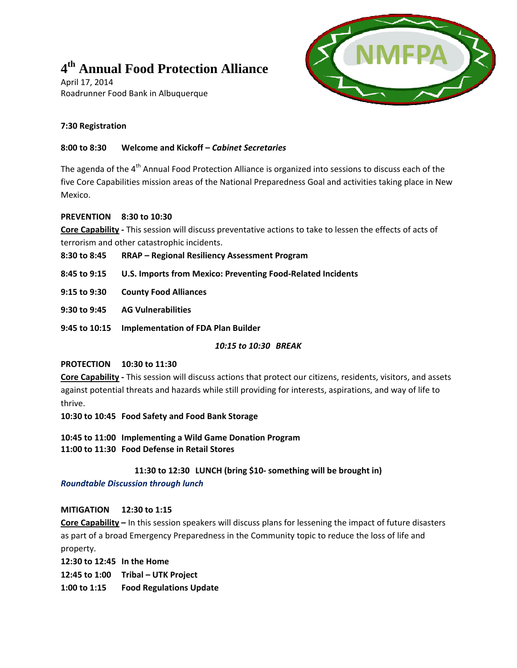# $4<sup>th</sup>$  Annual Food Protection Alliance

April 17, 2014 Roadrunner Food Bank in Albuquerque



## **7:30 Registration**

### **8:00 to 8:30 Welcome and Kickoff –** *Cabinet Secretaries*

The agenda of the 4<sup>th</sup> Annual Food Protection Alliance is organized into sessions to discuss each of the five Core Capabilities mission areas of the National Preparedness Goal and activities taking place in New Mexico.

### **PREVENTION 8:30 to 10:30**

**Core Capability ‐** This session will discuss preventative actions to take to lessen the effects of acts of terrorism and other catastrophic incidents.

| 8:30 to 8:45 | <b>RRAP - Regional Resiliency Assessment Program</b> |
|--------------|------------------------------------------------------|
|--------------|------------------------------------------------------|

- **8:45 to 9:15 U.S. Imports from Mexico: Preventing Food‐Related Incidents**
- **9:15 to 9:30 County Food Alliances**
- **9:30 to 9:45 AG Vulnerabilities**
- **9:45 to 10:15 Implementation of FDA Plan Builder**

*10:15 to 10:30 BREAK*

#### **PROTECTION 10:30 to 11:30**

**Core Capability ‐** This session will discuss actions that protect our citizens, residents, visitors, and assets against potential threats and hazards while still providing for interests, aspirations, and way of life to thrive.

**10:30 to 10:45 Food Safety and Food Bank Storage**

**10:45 to 11:00 Implementing a Wild Game Donation Program 11:00 to 11:30 Food Defense in Retail Stores**

## **11:30 to 12:30 LUNCH (bring \$10‐ something will be brought in)**

## *Roundtable Discussion through lunch*

## **MITIGATION 12:30 to 1:15**

**Core Capability –** In this session speakers will discuss plans for lessening the impact of future disasters as part of a broad Emergency Preparedness in the Community topic to reduce the loss of life and property.

**12:30 to 12:45 In the Home**

**12:45 to 1:00 Tribal – UTK Project**

**1:00 to 1:15 Food Regulations Update**